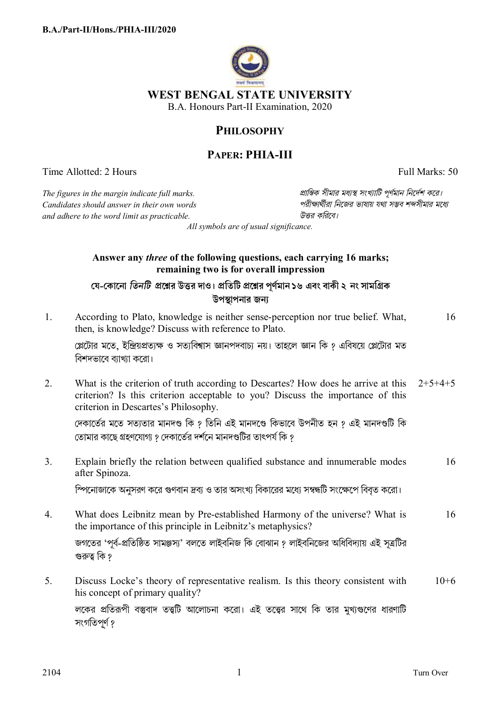

## **PHILOSOPHY**

## **PAPER: PHIA-III**

Time Allotted: 2 Hours Full Marks: 50

*The figures in the margin indicate full marks. pািnক সীমার মধ°s সংখ°ািট পূণমান িনেদশ কের।*  $C$ *andidates should answer in their own words and adhere to the word limit as practicable. উtর কিরেব।*

*All symbols are of usual significance.*

## **Answer any** *three* **of the following questions, each carrying 16 marks; remaining two is for overall impression**

যে-কোনো তিনটি প্রশ্নের উত্তর দাও। প্রতিটি প্রশ্নের পূর্ণমান ১৬ এবং বাকী ২ নং সামগ্রিক **উপsাপনার জন°**

1. According to Plato, knowledge is neither sense-perception nor true belief. What, then, is knowledge? Discuss with reference to Plato. 16

প্লেটোর মতে, ইন্দ্রিয়প্রত্যক্ষ ও সত্যবিশ্বাস জ্ঞানপদবাচ্য নয়। তাহলে জ্ঞান কি ? এবিষয়ে প্লেটোর মত বিশদভাবে ব্যাখ্যা করো।

2. What is the criterion of truth according to Descartes? How does he arrive at this criterion? Is this criterion acceptable to you? Discuss the importance of this criterion in Descartes's Philosophy.  $2+5+4+5$ 

দেকার্তের মতে সত্যতার মানদণ্ড কি ? তিনি এই মানদণ্ডে কিভাবে উপনীত হন ? এই মানদণ্ডটি কি তােমার কাছে গ্রহণযােগ্য ? দেকার্তের দর্শনে মানদণ্ডটির তাৎপর্য কি ?

3. Explain briefly the relation between qualified substance and innumerable modes after Spinoza. 16

<u>স্পিনোজাকে অনুসরণ করে গুণবান দ্রব্য ও তার অসংখ্য বিকারের মধ্যে সম্বন্ধটি সংক্ষেপে বিবৃত করো।</u>

4. What does Leibnitz mean by Pre-established Harmony of the universe? What is the importance of this principle in Leibnitz's metaphysics? 16

জগতের 'পূর্ব-প্রতিষ্ঠিত সামঞ্জস্য' বলতে লাইবনিজ কি বোঝান ? লাইবনিজের অধিবিদ্যায় এই সূত্রটির গুরুত্ব কি ?

5. Discuss Locke's theory of representative realism. Is this theory consistent with his concept of primary quality? লকের প্রতিরূপী বস্তুবাদ তত্ত্বটি আলোচনা করো। এই তত্ত্বের সাথে কি তার মুখ্যগুণের ধারণাটি  $10+6$ 

সংগতিপৰ্ণ ?